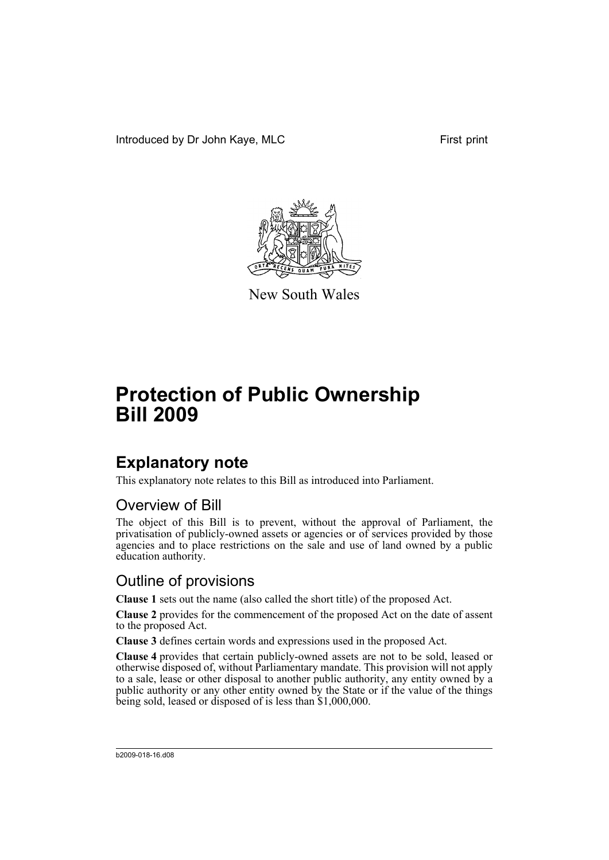Introduced by Dr John Kaye, MLC First print



New South Wales

# **Protection of Public Ownership Bill 2009**

# **Explanatory note**

This explanatory note relates to this Bill as introduced into Parliament.

### Overview of Bill

The object of this Bill is to prevent, without the approval of Parliament, the privatisation of publicly-owned assets or agencies or of services provided by those agencies and to place restrictions on the sale and use of land owned by a public education authority.

### Outline of provisions

**Clause 1** sets out the name (also called the short title) of the proposed Act.

**Clause 2** provides for the commencement of the proposed Act on the date of assent to the proposed Act.

**Clause 3** defines certain words and expressions used in the proposed Act.

**Clause 4** provides that certain publicly-owned assets are not to be sold, leased or otherwise disposed of, without Parliamentary mandate. This provision will not apply to a sale, lease or other disposal to another public authority, any entity owned by a public authority or any other entity owned by the State or if the value of the things being sold, leased or disposed of is less than \$1,000,000.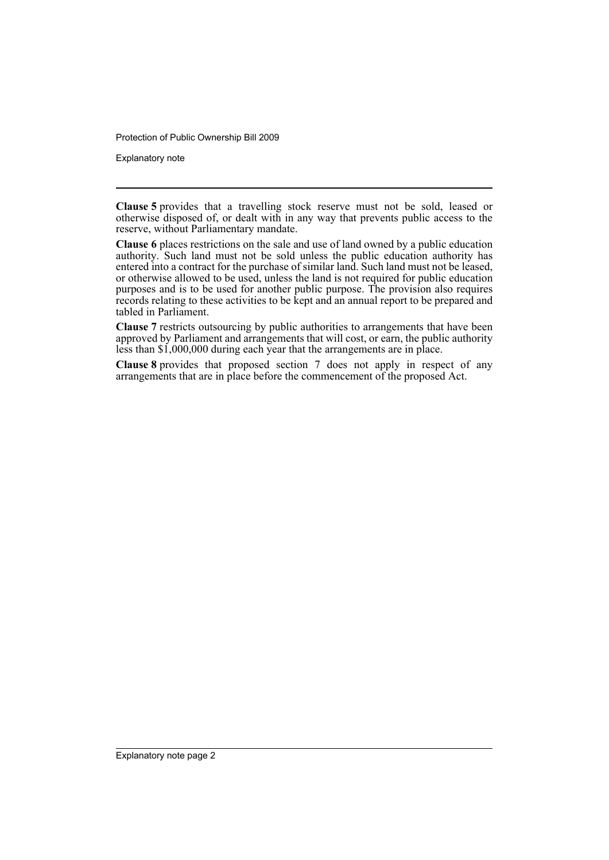Protection of Public Ownership Bill 2009

Explanatory note

**Clause 5** provides that a travelling stock reserve must not be sold, leased or otherwise disposed of, or dealt with in any way that prevents public access to the reserve, without Parliamentary mandate.

**Clause 6** places restrictions on the sale and use of land owned by a public education authority. Such land must not be sold unless the public education authority has entered into a contract for the purchase of similar land. Such land must not be leased, or otherwise allowed to be used, unless the land is not required for public education purposes and is to be used for another public purpose. The provision also requires records relating to these activities to be kept and an annual report to be prepared and tabled in Parliament.

**Clause 7** restricts outsourcing by public authorities to arrangements that have been approved by Parliament and arrangements that will cost, or earn, the public authority less than \$1,000,000 during each year that the arrangements are in place.

**Clause 8** provides that proposed section 7 does not apply in respect of any arrangements that are in place before the commencement of the proposed Act.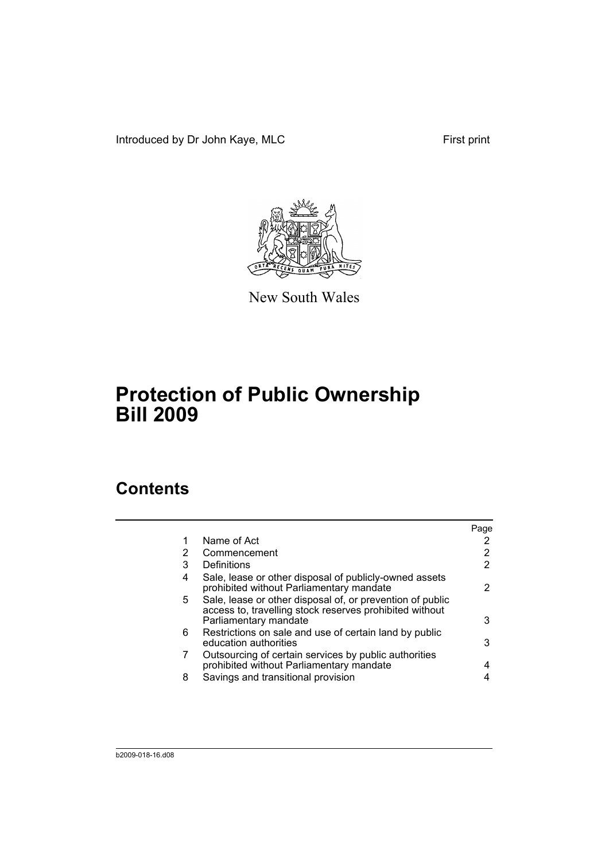Introduced by Dr John Kaye, MLC First print



New South Wales

# **Protection of Public Ownership Bill 2009**

## **Contents**

|   |                                                                                                                                               | Page |
|---|-----------------------------------------------------------------------------------------------------------------------------------------------|------|
| 1 | Name of Act                                                                                                                                   |      |
| 2 | Commencement                                                                                                                                  |      |
| 3 | Definitions                                                                                                                                   |      |
| 4 | Sale, lease or other disposal of publicly-owned assets<br>prohibited without Parliamentary mandate                                            |      |
| 5 | Sale, lease or other disposal of, or prevention of public<br>access to, travelling stock reserves prohibited without<br>Parliamentary mandate | 3    |
| 6 | Restrictions on sale and use of certain land by public<br>education authorities                                                               | 3    |
| 7 | Outsourcing of certain services by public authorities<br>prohibited without Parliamentary mandate                                             |      |
| 8 | Savings and transitional provision                                                                                                            |      |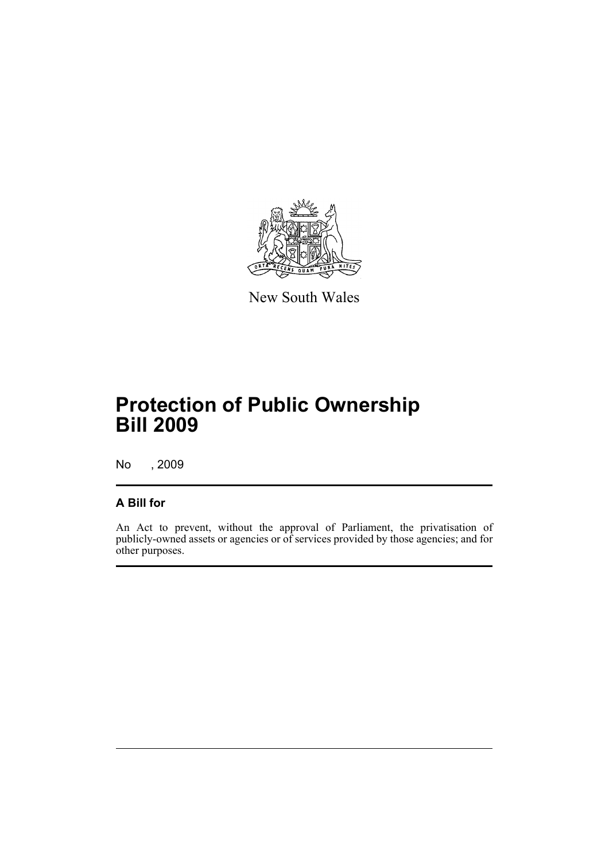

New South Wales

# **Protection of Public Ownership Bill 2009**

No , 2009

### **A Bill for**

An Act to prevent, without the approval of Parliament, the privatisation of publicly-owned assets or agencies or of services provided by those agencies; and for other purposes.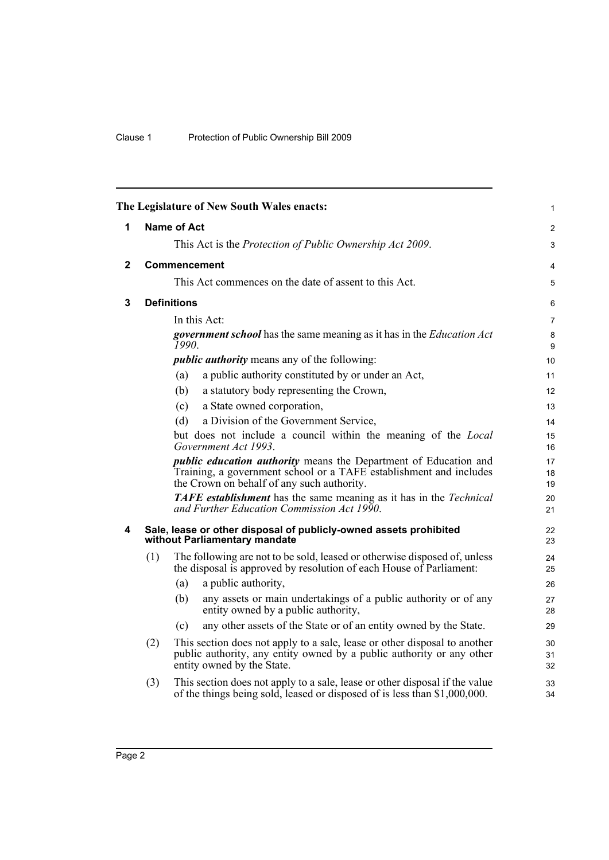<span id="page-5-3"></span><span id="page-5-2"></span><span id="page-5-1"></span><span id="page-5-0"></span>

|              |                                                                                                    |                     | The Legislature of New South Wales enacts:                                                                                                                                                  | $\mathbf{1}$   |
|--------------|----------------------------------------------------------------------------------------------------|---------------------|---------------------------------------------------------------------------------------------------------------------------------------------------------------------------------------------|----------------|
| 1            |                                                                                                    | <b>Name of Act</b>  |                                                                                                                                                                                             | $\overline{2}$ |
|              |                                                                                                    |                     | This Act is the <i>Protection of Public Ownership Act 2009</i> .                                                                                                                            | 3              |
| $\mathbf{2}$ |                                                                                                    | <b>Commencement</b> |                                                                                                                                                                                             | 4              |
|              |                                                                                                    |                     | This Act commences on the date of assent to this Act.                                                                                                                                       | 5              |
| 3            |                                                                                                    | <b>Definitions</b>  |                                                                                                                                                                                             | 6              |
|              |                                                                                                    | In this Act:        |                                                                                                                                                                                             | $\overline{7}$ |
|              |                                                                                                    | 1990.               | <b>government school</b> has the same meaning as it has in the <i>Education Act</i>                                                                                                         | 8<br>9         |
|              |                                                                                                    |                     | <i>public authority</i> means any of the following:                                                                                                                                         | 10             |
|              |                                                                                                    | (a)                 | a public authority constituted by or under an Act,                                                                                                                                          | 11             |
|              |                                                                                                    | (b)                 | a statutory body representing the Crown,                                                                                                                                                    | 12             |
|              |                                                                                                    | (c)                 | a State owned corporation,                                                                                                                                                                  | 13             |
|              |                                                                                                    | (d)                 | a Division of the Government Service,                                                                                                                                                       | 14             |
|              |                                                                                                    |                     | but does not include a council within the meaning of the Local<br>Government Act 1993.                                                                                                      | 15<br>16       |
|              |                                                                                                    |                     | <i>public education authority</i> means the Department of Education and<br>Training, a government school or a TAFE establishment and includes<br>the Crown on behalf of any such authority. | 17<br>18<br>19 |
|              |                                                                                                    |                     | <b>TAFE</b> establishment has the same meaning as it has in the Technical<br>and Further Education Commission Act 1990.                                                                     | 20<br>21       |
| 4            | Sale, lease or other disposal of publicly-owned assets prohibited<br>without Parliamentary mandate |                     |                                                                                                                                                                                             |                |
|              | (1)                                                                                                |                     | The following are not to be sold, leased or otherwise disposed of, unless<br>the disposal is approved by resolution of each House of Parliament:                                            | 24<br>25       |
|              |                                                                                                    | (a)                 | a public authority,                                                                                                                                                                         | 26             |
|              |                                                                                                    | (b)                 | any assets or main undertakings of a public authority or of any<br>entity owned by a public authority,                                                                                      | 27<br>28       |
|              |                                                                                                    | (c)                 | any other assets of the State or of an entity owned by the State.                                                                                                                           | 29             |
|              | (2)                                                                                                |                     | This section does not apply to a sale, lease or other disposal to another<br>public authority, any entity owned by a public authority or any other<br>entity owned by the State.            | 30<br>31<br>32 |
|              | (3)                                                                                                |                     | This section does not apply to a sale, lease or other disposal if the value<br>of the things being sold, leased or disposed of is less than \$1,000,000.                                    | 33<br>34       |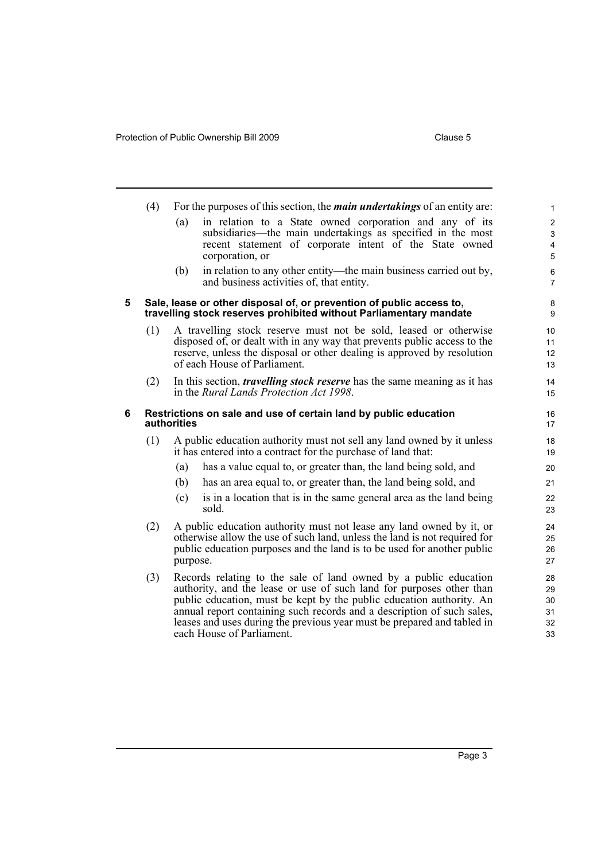<span id="page-6-1"></span><span id="page-6-0"></span>

|   | (4)                                                                             | For the purposes of this section, the <i>main undertakings</i> of an entity are:                                                                                                                                                                                                                                                                                                                   | $\mathbf{1}$                     |
|---|---------------------------------------------------------------------------------|----------------------------------------------------------------------------------------------------------------------------------------------------------------------------------------------------------------------------------------------------------------------------------------------------------------------------------------------------------------------------------------------------|----------------------------------|
|   |                                                                                 | in relation to a State owned corporation and any of its<br>(a)<br>subsidiaries—the main undertakings as specified in the most                                                                                                                                                                                                                                                                      | $\overline{2}$<br>$\mathsf 3$    |
|   |                                                                                 | recent statement of corporate intent of the State owned<br>corporation, or                                                                                                                                                                                                                                                                                                                         | $\overline{4}$<br>5              |
|   |                                                                                 | in relation to any other entity—the main business carried out by,<br>(b)<br>and business activities of, that entity.                                                                                                                                                                                                                                                                               | 6<br>$\overline{7}$              |
| 5 |                                                                                 | Sale, lease or other disposal of, or prevention of public access to,<br>travelling stock reserves prohibited without Parliamentary mandate                                                                                                                                                                                                                                                         | 8<br>9                           |
|   | (1)                                                                             | A travelling stock reserve must not be sold, leased or otherwise<br>disposed of, or dealt with in any way that prevents public access to the<br>reserve, unless the disposal or other dealing is approved by resolution<br>of each House of Parliament.                                                                                                                                            | 10<br>11<br>12<br>13             |
|   | (2)                                                                             | In this section, <i>travelling stock reserve</i> has the same meaning as it has<br>in the Rural Lands Protection Act 1998.                                                                                                                                                                                                                                                                         | 14<br>15                         |
| 6 | Restrictions on sale and use of certain land by public education<br>authorities |                                                                                                                                                                                                                                                                                                                                                                                                    |                                  |
|   | (1)                                                                             | A public education authority must not sell any land owned by it unless<br>it has entered into a contract for the purchase of land that:                                                                                                                                                                                                                                                            | 18<br>19                         |
|   |                                                                                 | has a value equal to, or greater than, the land being sold, and<br>(a)                                                                                                                                                                                                                                                                                                                             | 20                               |
|   |                                                                                 | (b)<br>has an area equal to, or greater than, the land being sold, and                                                                                                                                                                                                                                                                                                                             | 21                               |
|   |                                                                                 | is in a location that is in the same general area as the land being<br>(c)<br>sold.                                                                                                                                                                                                                                                                                                                | 22<br>23                         |
|   | (2)                                                                             | A public education authority must not lease any land owned by it, or<br>otherwise allow the use of such land, unless the land is not required for<br>public education purposes and the land is to be used for another public<br>purpose.                                                                                                                                                           | 24<br>25<br>26<br>27             |
|   | (3)                                                                             | Records relating to the sale of land owned by a public education<br>authority, and the lease or use of such land for purposes other than<br>public education, must be kept by the public education authority. An<br>annual report containing such records and a description of such sales,<br>leases and uses during the previous year must be prepared and tabled in<br>each House of Parliament. | 28<br>29<br>30<br>31<br>32<br>33 |